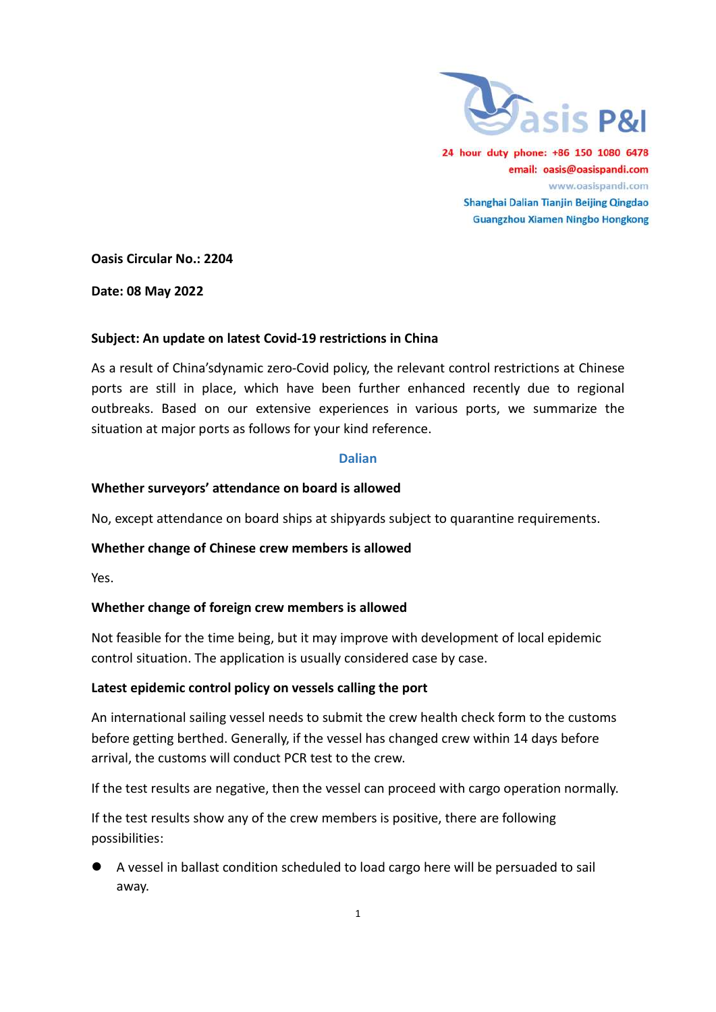

24 hour duty phone: +86 150 1080 6478 email: oasis@oasispandi.com www.oasispandi.com Shanghai Dalian Tianjin Beijing Qingdao **Guangzhou Xiamen Ningbo Hongkong** 

Oasis Circular No.: 2204

Date: 08 May 2022

# Subject: An update on latest Covid-19 restrictions in China

As a result of China'sdynamic zero-Covid policy, the relevant control restrictions at Chinese ports are still in place, which have been further enhanced recently due to regional ports are still in place, which have been further enhanced recently due to regional<br>outbreaks. Based on our extensive experiences in various ports, we summarize the situation at major ports as follows for your kind reference.

### Dalian

# Whether surveyors' attendance on board is allowed

No, except attendance on board ships at shipyards subject to quarantine requirements.

# Whether change of Chinese crew members is allowed

Yes.

### Whether change of foreign crew members is allowed

Not feasible for the time being, but it may improve with development of local epidemic<br>control situation. The application is usually considered case by case. control situation. The application is usually considered case by case.

### Latest epidemic control policy on vessels calling the port

An international sailing vessel needs to submit the crew health check form to the customs before getting berthed. Generally, if the vessel has changed crew within 14 days before<br>arrival, the customs will conduct PCR test to the crew.<br>If the test results are negative, then the vessel can proceed with cargo opera arrival, the customs will conduct PCR test to the crew.

arrival, the customs will conduct PCR test to the crew.<br>If the test results are negative, then the vessel can proceed with cargo operation normally.

If the test results show any of the crew members is positive, there are following possibilities:

 $\bullet$  A vessel in ballast condition scheduled to load cargo here will be persuaded to sail away.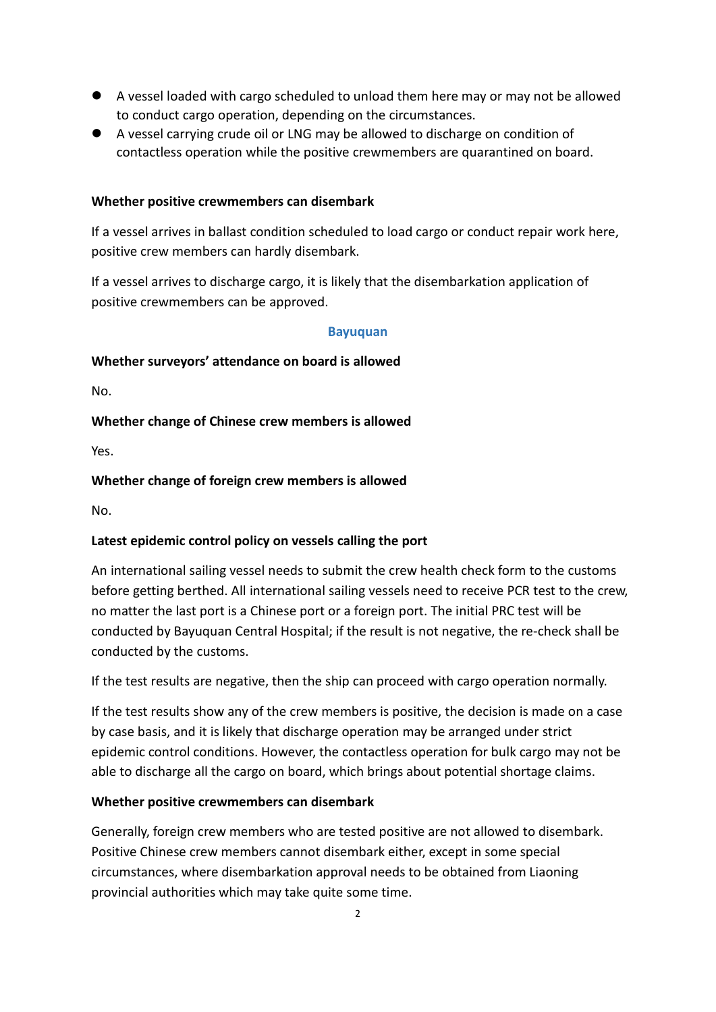- A vessel loaded with cargo scheduled to unload them here may or may not be allowed to conduct cargo operation, depending on the circumstances.
- A vessel carrying crude oil or LNG may be allowed to discharge on condition of contactless operation while the positive crewmembers are quarantined on board.

#### Whether positive crewmembers can disembark

If a vessel arrives in ballast condition scheduled to load cargo or conduct repair work here, positive crew members can hardly disembark.

If a vessel arrives to discharge cargo, it is likely that the disembarkation application of positive crewmembers can be approved.

#### Bayuquan

#### Whether surveyors' attendance on board is allowed

No.

#### Whether change of Chinese crew members is allowed

Yes.

#### Whether change of foreign crew members is allowed

No.

#### Latest epidemic control policy on vessels calling the port

An international sailing vessel needs to submit the crew health check form to the customs before getting berthed. All international sailing vessels need to receive PCR test to the crew, no matter the last port is a Chinese port or a foreign port. The initial PRC test will be conducted by Bayuquan Central Hospital; if the result is not negative, the re-check shall be conducted by the customs.

If the test results are negative, then the ship can proceed with cargo operation normally.

If the test results show any of the crew members is positive, the decision is made on a case by case basis, and it is likely that discharge operation may be arranged under strict epidemic control conditions. However, the contactless operation for bulk cargo may not be able to discharge all the cargo on board, which brings about potential shortage claims.

#### Whether positive crewmembers can disembark

Generally, foreign crew members who are tested positive are not allowed to disembark. Positive Chinese crew members cannot disembark either, except in some special circumstances, where disembarkation approval needs to be obtained from Liaoning provincial authorities which may take quite some time.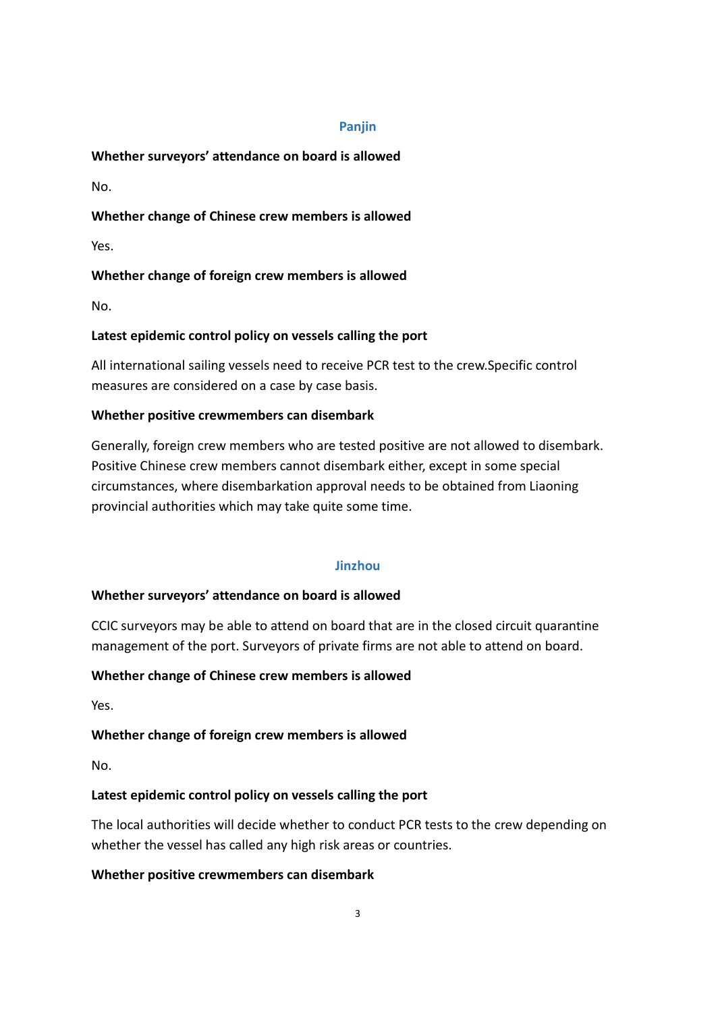### Panjin

# Whether surveyors' attendance on board is allowed

No.

# Whether change of Chinese crew members is allowed

Yes.

# Whether change of foreign crew members is allowed

No.

# Latest epidemic control policy on vessels calling the port

All international sailing vessels need to receive PCR test to the crew.Specific control measures are considered on a case by case basis.

# Whether positive crewmembers can disembark

Generally, foreign crew members who are tested positive are not allowed to disembark. Positive Chinese crew members cannot disembark either, except in some special circumstances, where disembarkation approval needs to be obtained from Liaoning provincial authorities which may take quite some time.

# Jinzhou

# Whether surveyors' attendance on board is allowed

CCIC surveyors may be able to attend on board that are in the closed circuit quarantine management of the port. Surveyors of private firms are not able to attend on board.

# Whether change of Chinese crew members is allowed

Yes.

# Whether change of foreign crew members is allowed

No.

# Latest epidemic control policy on vessels calling the port

The local authorities will decide whether to conduct PCR tests to the crew depending on whether the vessel has called any high risk areas or countries.

# Whether positive crewmembers can disembark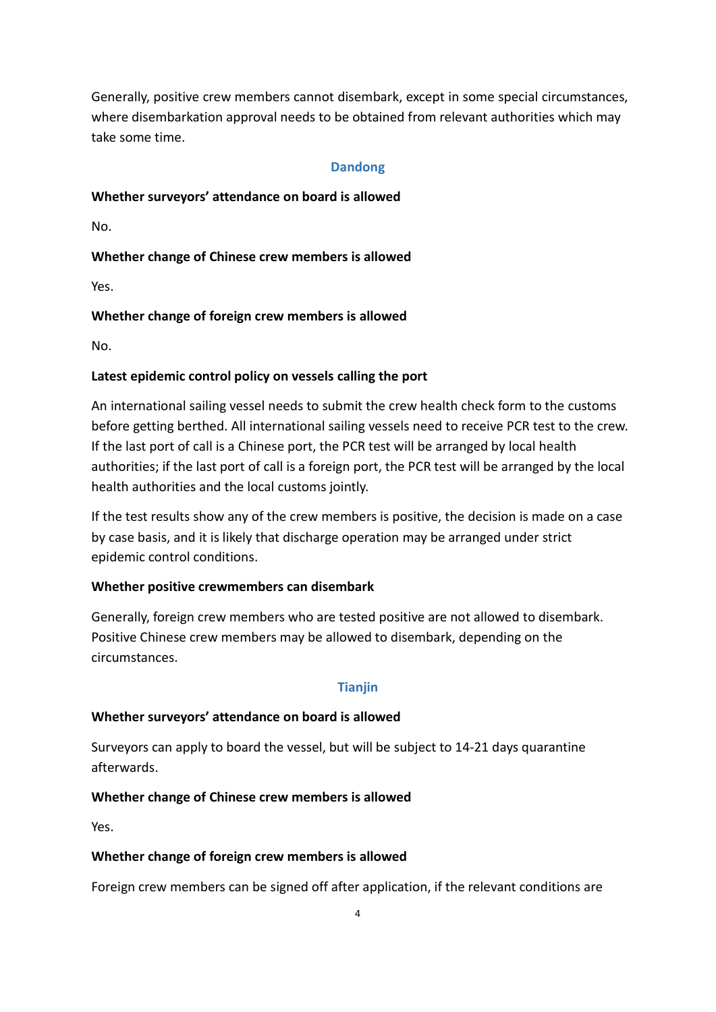Generally, positive crew members cannot disembark, except in some special circumstances, where disembarkation approval needs to be obtained from relevant authorities which may take some time.

### Dandong

# Whether surveyors' attendance on board is allowed

No.

# Whether change of Chinese crew members is allowed

Yes.

# Whether change of foreign crew members is allowed

No.

# Latest epidemic control policy on vessels calling the port

An international sailing vessel needs to submit the crew health check form to the customs before getting berthed. All international sailing vessels need to receive PCR test to the crew. If the last port of call is a Chinese port, the PCR test will be arranged by local health authorities; if the last port of call is a foreign port, the PCR test will be arranged by the local health authorities and the local customs jointly.

If the test results show any of the crew members is positive, the decision is made on a case by case basis, and it is likely that discharge operation may be arranged under strict epidemic control conditions.

### Whether positive crewmembers can disembark

Generally, foreign crew members who are tested positive are not allowed to disembark. Positive Chinese crew members may be allowed to disembark, depending on the circumstances.

### Tianjin

# Whether surveyors' attendance on board is allowed

Surveyors can apply to board the vessel, but will be subject to 14-21 days quarantine afterwards.

# Whether change of Chinese crew members is allowed

Yes.

### Whether change of foreign crew members is allowed

Foreign crew members can be signed off after application, if the relevant conditions are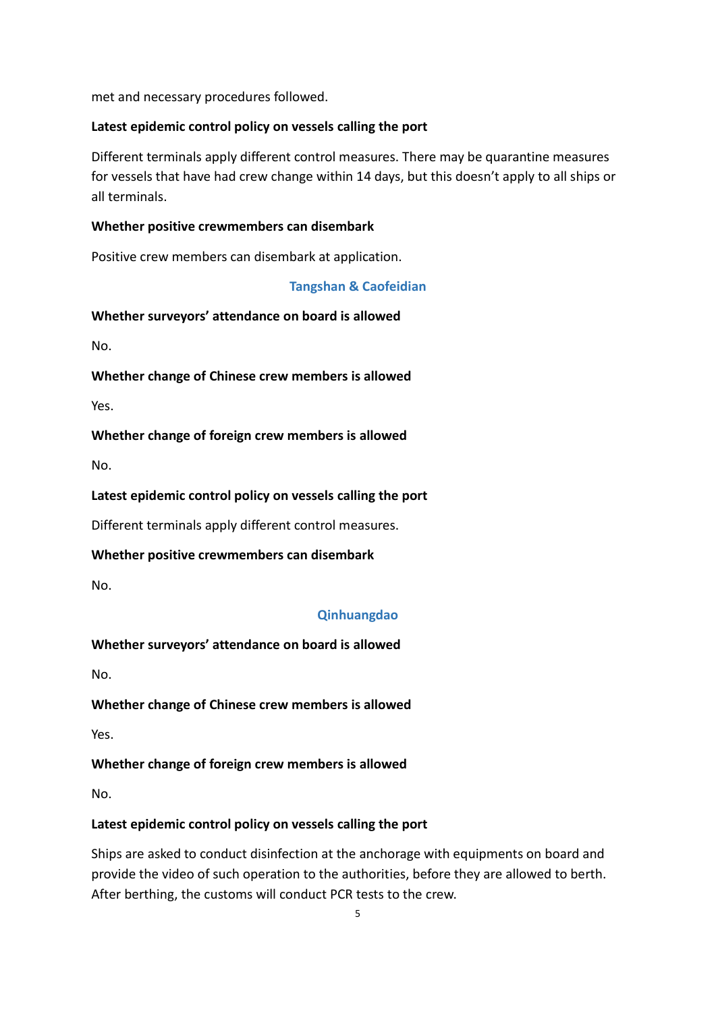met and necessary procedures followed.

# Latest epidemic control policy on vessels calling the port

Different terminals apply different control measures. There may be quarantine measures for vessels that have had crew change within 14 days, but this doesn't apply to all ships or all terminals.

# Whether positive crewmembers can disembark

Positive crew members can disembark at application.

# Tangshan & Caofeidian

Whether surveyors' attendance on board is allowed

No.

Whether change of Chinese crew members is allowed

Yes.

# Whether change of foreign crew members is allowed

No.

# Latest epidemic control policy on vessels calling the port

Different terminals apply different control measures.

### Whether positive crewmembers can disembark

No.

# Qinhuangdao

# Whether surveyors' attendance on board is allowed

No.

# Whether change of Chinese crew members is allowed

Yes.

# Whether change of foreign crew members is allowed

No.

# Latest epidemic control policy on vessels calling the port

Ships are asked to conduct disinfection at the anchorage with equipments on board and provide the video of such operation to the authorities, before they are allowed to berth. After berthing, the customs will conduct PCR tests to the crew.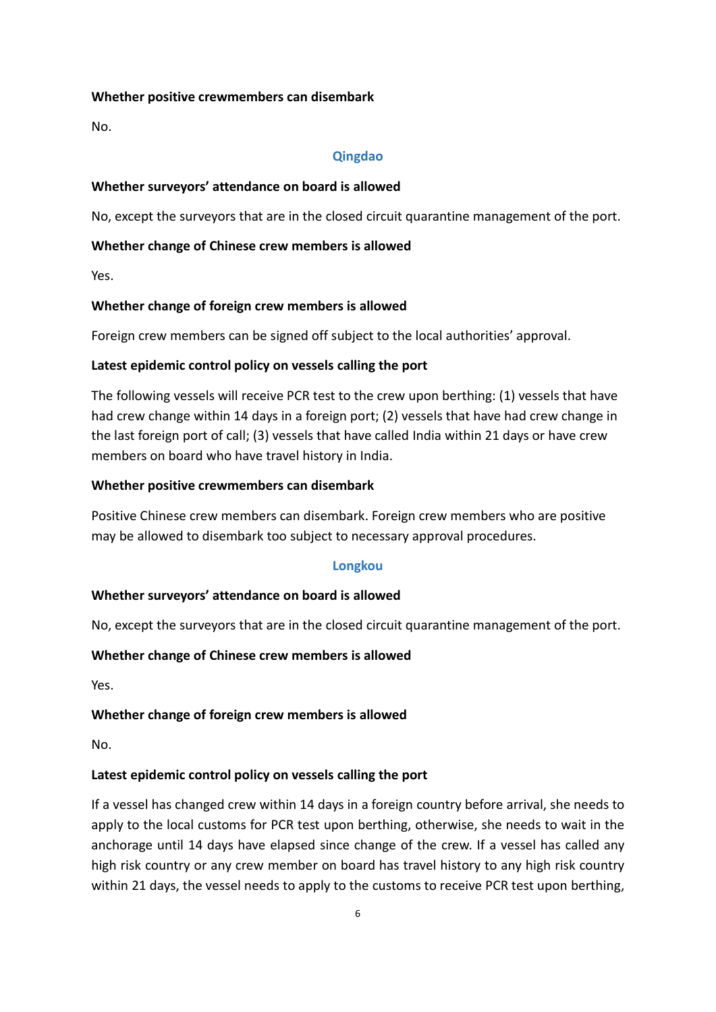### Whether positive crewmembers can disembark

No.

#### Qingdao

#### Whether surveyors' attendance on board is allowed

No, except the surveyors that are in the closed circuit quarantine management of the port.

#### Whether change of Chinese crew members is allowed

Yes.

#### Whether change of foreign crew members is allowed

Foreign crew members can be signed off subject to the local authorities' approval.

#### Latest epidemic control policy on vessels calling the port

The following vessels will receive PCR test to the crew upon berthing: (1) vessels that have had crew change within 14 days in a foreign port; (2) vessels that have had crew change in the last foreign port of call; (3) vessels that have called India within 21 days or have crew members on board who have travel history in India.

#### Whether positive crewmembers can disembark

Positive Chinese crew members can disembark. Foreign crew members who are positive may be allowed to disembark too subject to necessary approval procedures.

### Longkou

### Whether surveyors' attendance on board is allowed

No, except the surveyors that are in the closed circuit quarantine management of the port.

### Whether change of Chinese crew members is allowed

Yes.

### Whether change of foreign crew members is allowed

No.

#### Latest epidemic control policy on vessels calling the port

If a vessel has changed crew within 14 days in a foreign country before arrival, she needs to apply to the local customs for PCR test upon berthing, otherwise, she needs to wait in the anchorage until 14 days have elapsed since change of the crew. If a vessel has called any high risk country or any crew member on board has travel history to any high risk country within 21 days, the vessel needs to apply to the customs to receive PCR test upon berthing,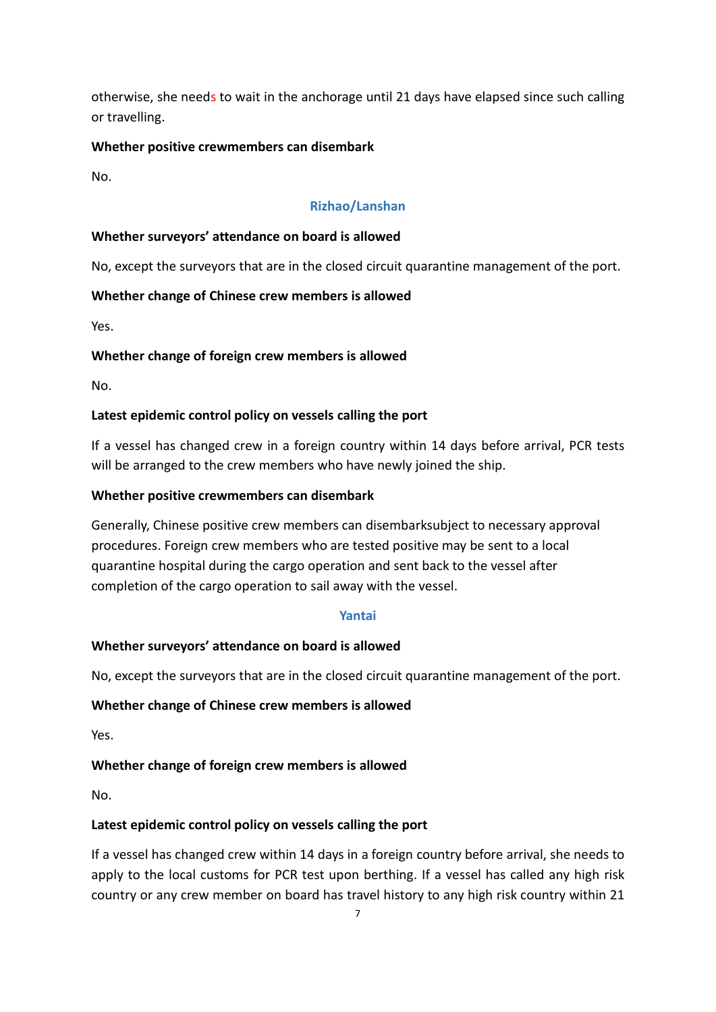otherwise, she needs to wait in the anchorage until 21 days have elapsed since such calling or travelling.

# Whether positive crewmembers can disembark

No.

# Rizhao/Lanshan

# Whether surveyors' attendance on board is allowed

No, except the surveyors that are in the closed circuit quarantine management of the port.

# Whether change of Chinese crew members is allowed

Yes.

# Whether change of foreign crew members is allowed

No.

# Latest epidemic control policy on vessels calling the port

If a vessel has changed crew in a foreign country within 14 days before arrival, PCR tests will be arranged to the crew members who have newly joined the ship.

# Whether positive crewmembers can disembark

Generally, Chinese positive crew members can disembarksubject to necessary approval procedures. Foreign crew members who are tested positive may be sent to a local quarantine hospital during the cargo operation and sent back to the vessel after completion of the cargo operation to sail away with the vessel.

### Yantai

# Whether surveyors' attendance on board is allowed

No, except the surveyors that are in the closed circuit quarantine management of the port.

### Whether change of Chinese crew members is allowed

Yes.

### Whether change of foreign crew members is allowed

No.

# Latest epidemic control policy on vessels calling the port

If a vessel has changed crew within 14 days in a foreign country before arrival, she needs to apply to the local customs for PCR test upon berthing. If a vessel has called any high risk country or any crew member on board has travel history to any high risk country within 21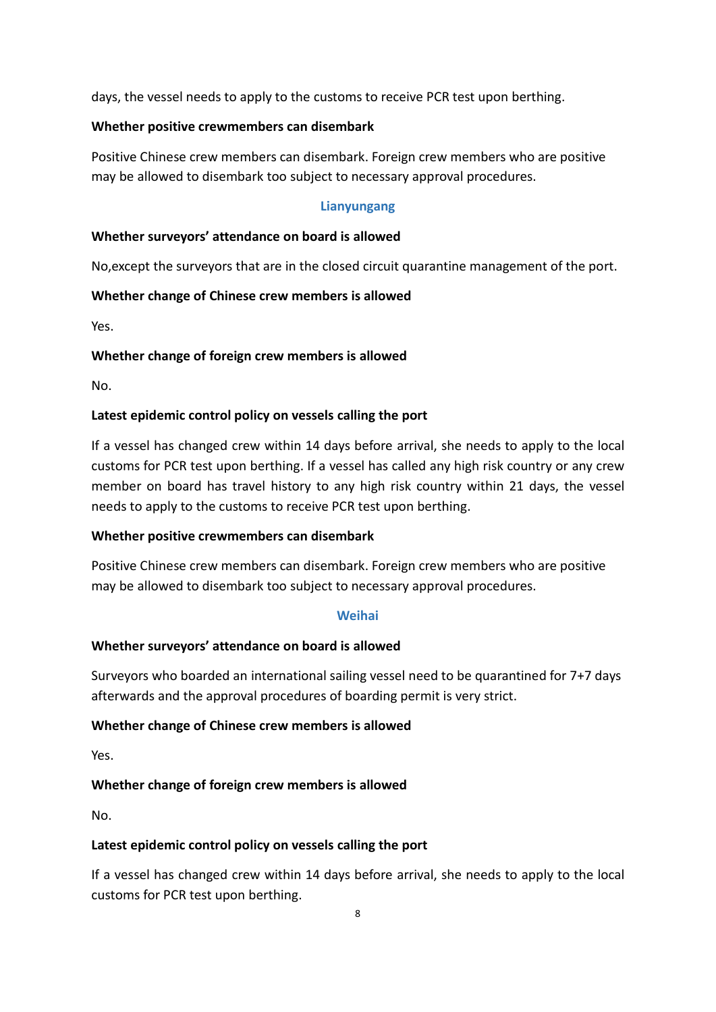days, the vessel needs to apply to the customs to receive PCR test upon berthing.

### Whether positive crewmembers can disembark

Positive Chinese crew members can disembark. Foreign crew members who are positive may be allowed to disembark too subject to necessary approval procedures.

# Lianyungang

# Whether surveyors' attendance on board is allowed

No,except the surveyors that are in the closed circuit quarantine management of the port.

# Whether change of Chinese crew members is allowed

Yes.

# Whether change of foreign crew members is allowed

No.

# Latest epidemic control policy on vessels calling the port

If a vessel has changed crew within 14 days before arrival, she needs to apply to the local customs for PCR test upon berthing. If a vessel has called any high risk country or any crew member on board has travel history to any high risk country within 21 days, the vessel needs to apply to the customs to receive PCR test upon berthing.

### Whether positive crewmembers can disembark

Positive Chinese crew members can disembark. Foreign crew members who are positive may be allowed to disembark too subject to necessary approval procedures.

### **Weihai**

### Whether surveyors' attendance on board is allowed

Surveyors who boarded an international sailing vessel need to be quarantined for 7+7 days afterwards and the approval procedures of boarding permit is very strict.

### Whether change of Chinese crew members is allowed

Yes.

### Whether change of foreign crew members is allowed

No.

### Latest epidemic control policy on vessels calling the port

If a vessel has changed crew within 14 days before arrival, she needs to apply to the local customs for PCR test upon berthing.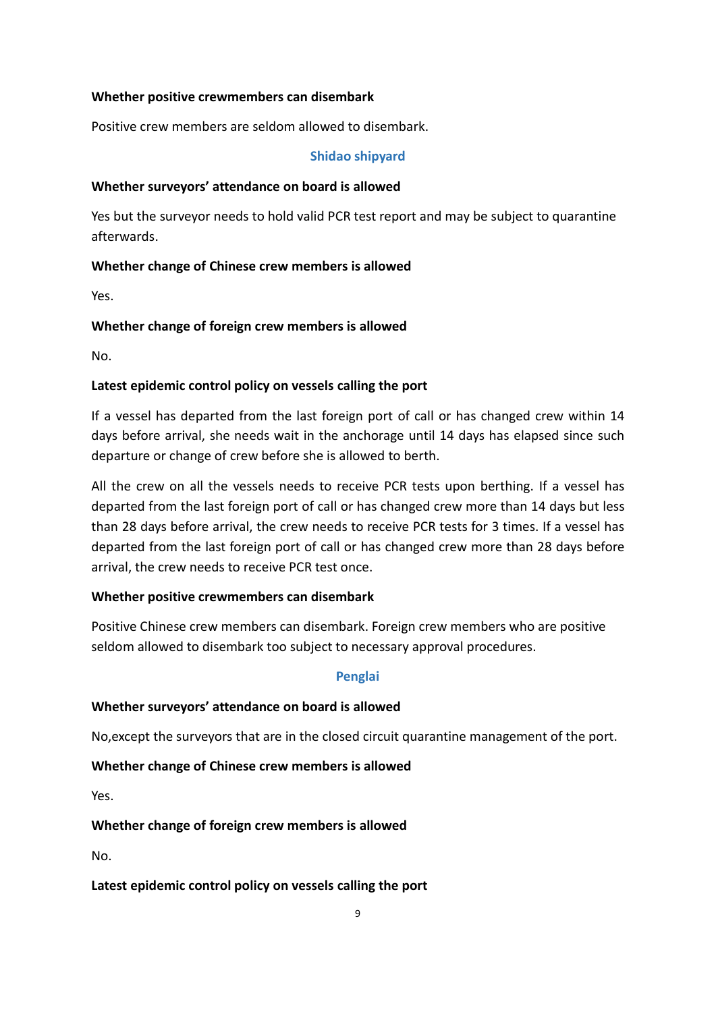### Whether positive crewmembers can disembark

Positive crew members are seldom allowed to disembark.

### Shidao shipyard

# Whether surveyors' attendance on board is allowed

Yes but the surveyor needs to hold valid PCR test report and may be subject to quarantine afterwards.

# Whether change of Chinese crew members is allowed

Yes.

# Whether change of foreign crew members is allowed

No.

# Latest epidemic control policy on vessels calling the port

If a vessel has departed from the last foreign port of call or has changed crew within 14 days before arrival, she needs wait in the anchorage until 14 days has elapsed since such departure or change of crew before she is allowed to berth.

All the crew on all the vessels needs to receive PCR tests upon berthing. If a vessel has departed from the last foreign port of call or has changed crew more than 14 days but less than 28 days before arrival, the crew needs to receive PCR tests for 3 times. If a vessel has departed from the last foreign port of call or has changed crew more than 28 days before arrival, the crew needs to receive PCR test once.

# Whether positive crewmembers can disembark

Positive Chinese crew members can disembark. Foreign crew members who are positive seldom allowed to disembark too subject to necessary approval procedures.

### Penglai

### Whether surveyors' attendance on board is allowed

No,except the surveyors that are in the closed circuit quarantine management of the port.

# Whether change of Chinese crew members is allowed

Yes.

# Whether change of foreign crew members is allowed

No.

### Latest epidemic control policy on vessels calling the port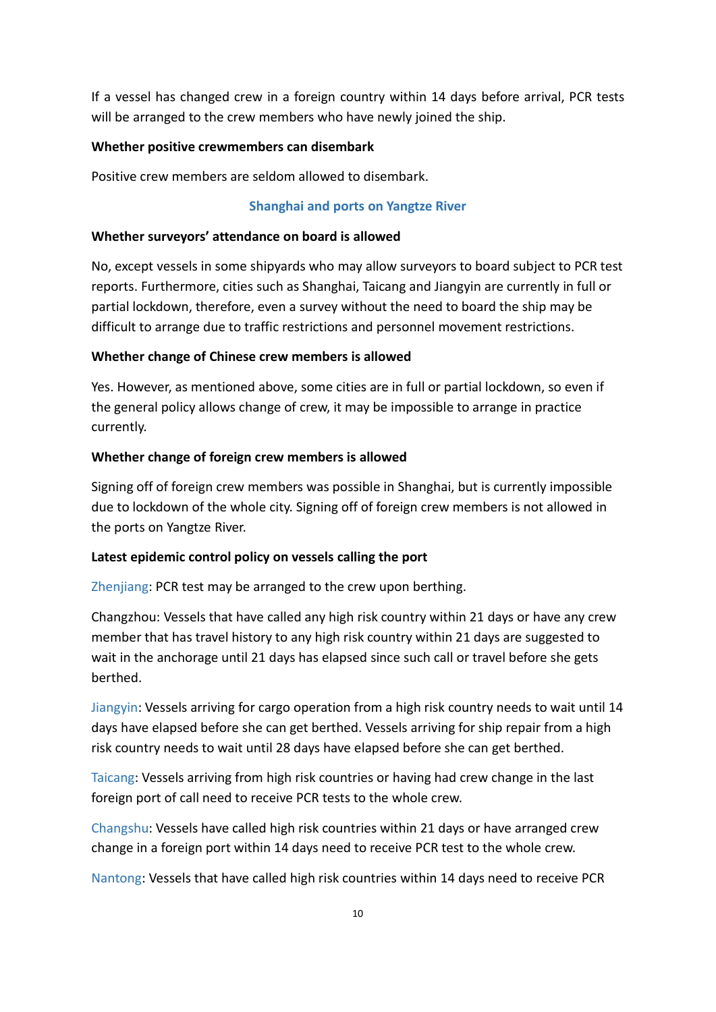If a vessel has changed crew in a foreign country within 14 days before arrival, PCR tests will be arranged to the crew members who have newly joined the ship.

### Whether positive crewmembers can disembark

Positive crew members are seldom allowed to disembark.

#### Shanghai and ports on Yangtze River

#### Whether surveyors' attendance on board is allowed

No, except vessels in some shipyards who may allow surveyors to board subject to PCR test reports. Furthermore, cities such as Shanghai, Taicang and Jiangyin are currently in full or partial lockdown, therefore, even a survey without the need to board the ship may be difficult to arrange due to traffic restrictions and personnel movement restrictions.

#### Whether change of Chinese crew members is allowed

Yes. However, as mentioned above, some cities are in full or partial lockdown, so even if the general policy allows change of crew, it may be impossible to arrange in practice currently.

#### Whether change of foreign crew members is allowed

Signing off of foreign crew members was possible in Shanghai, but is currently impossible due to lockdown of the whole city. Signing off of foreign crew members is not allowed in the ports on Yangtze River.

#### Latest epidemic control policy on vessels calling the port

Zhenjiang: PCR test may be arranged to the crew upon berthing.

Changzhou: Vessels that have called any high risk country within 21 days or have any crew member that has travel history to any high risk country within 21 days are suggested to wait in the anchorage until 21 days has elapsed since such call or travel before she gets berthed.

Jiangyin: Vessels arriving for cargo operation from a high risk country needs to wait until 14 days have elapsed before she can get berthed. Vessels arriving for ship repair from a high risk country needs to wait until 28 days have elapsed before she can get berthed.

Taicang: Vessels arriving from high risk countries or having had crew change in the last foreign port of call need to receive PCR tests to the whole crew.

Changshu: Vessels have called high risk countries within 21 days or have arranged crew change in a foreign port within 14 days need to receive PCR test to the whole crew.

Nantong: Vessels that have called high risk countries within 14 days need to receive PCR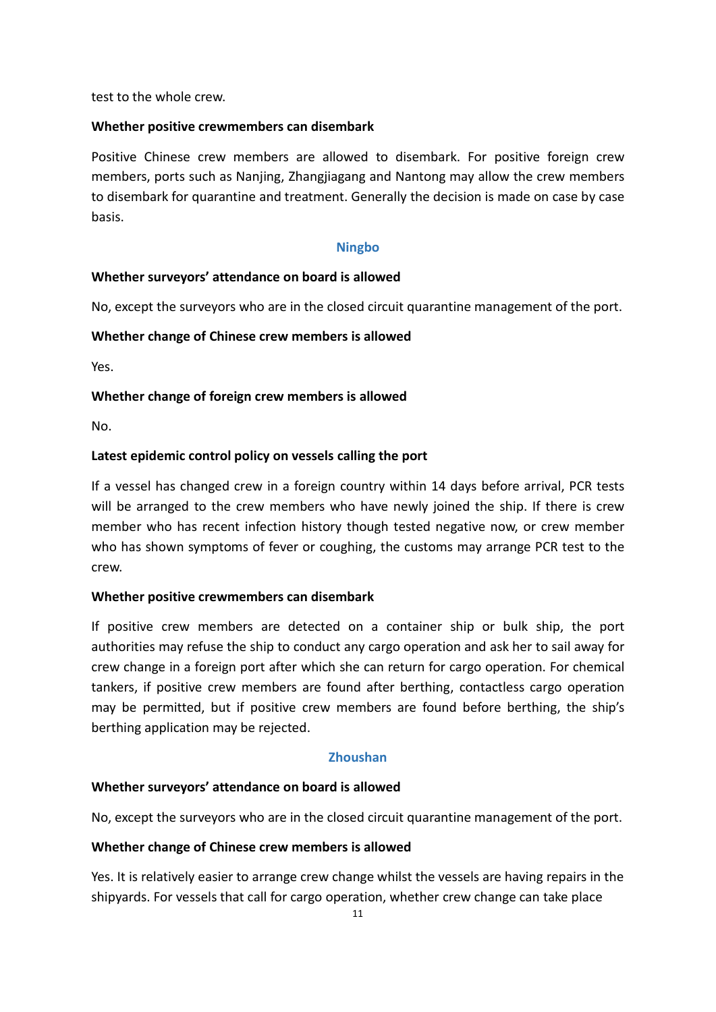test to the whole crew.

#### Whether positive crewmembers can disembark

Positive Chinese crew members are allowed to disembark. For positive foreign crew members, ports such as Nanjing, Zhangjiagang and Nantong may allow the crew members to disembark for quarantine and treatment. Generally the decision is made on case by case basis.

#### Ningbo

#### Whether surveyors' attendance on board is allowed

No, except the surveyors who are in the closed circuit quarantine management of the port.

#### Whether change of Chinese crew members is allowed

Yes.

#### Whether change of foreign crew members is allowed

No.

#### Latest epidemic control policy on vessels calling the port

If a vessel has changed crew in a foreign country within 14 days before arrival, PCR tests will be arranged to the crew members who have newly joined the ship. If there is crew member who has recent infection history though tested negative now, or crew member who has shown symptoms of fever or coughing, the customs may arrange PCR test to the crew.

#### Whether positive crewmembers can disembark

If positive crew members are detected on a container ship or bulk ship, the port authorities may refuse the ship to conduct any cargo operation and ask her to sail away for crew change in a foreign port after which she can return for cargo operation. For chemical tankers, if positive crew members are found after berthing, contactless cargo operation may be permitted, but if positive crew members are found before berthing, the ship's berthing application may be rejected.

#### Zhoushan

#### Whether surveyors' attendance on board is allowed

No, except the surveyors who are in the closed circuit quarantine management of the port.

#### Whether change of Chinese crew members is allowed

Yes. It is relatively easier to arrange crew change whilst the vessels are having repairs in the shipyards. For vessels that call for cargo operation, whether crew change can take place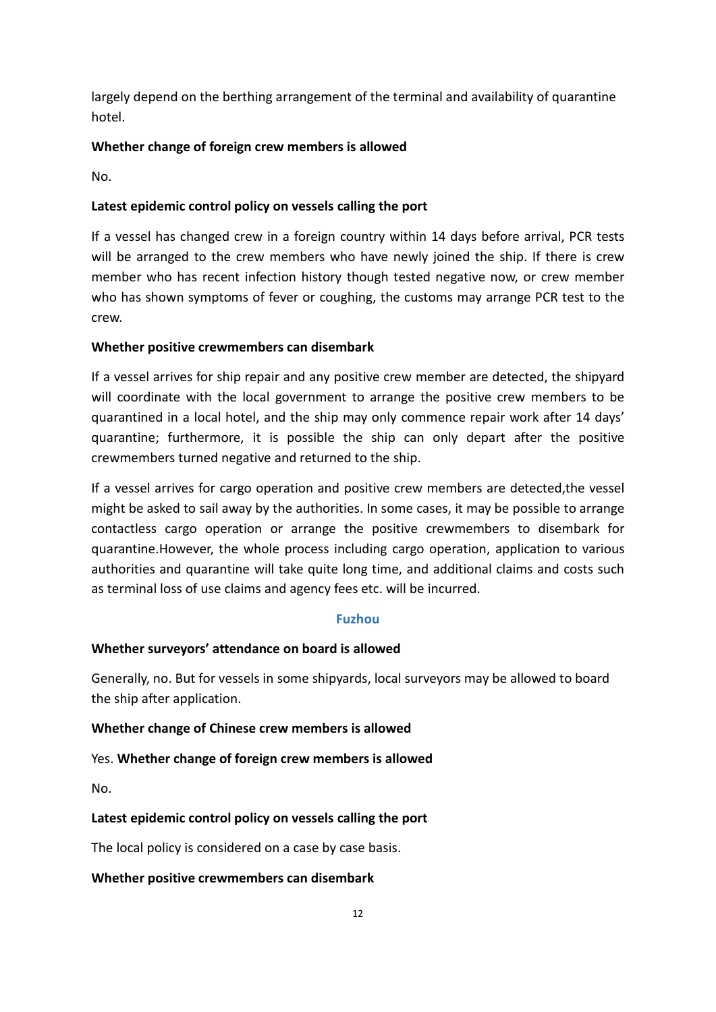largely depend on the berthing arrangement of the terminal and availability of quarantine hotel.

# Whether change of foreign crew members is allowed

No.

# Latest epidemic control policy on vessels calling the port

If a vessel has changed crew in a foreign country within 14 days before arrival, PCR tests will be arranged to the crew members who have newly joined the ship. If there is crew member who has recent infection history though tested negative now, or crew member who has shown symptoms of fever or coughing, the customs may arrange PCR test to the crew.

# Whether positive crewmembers can disembark

If a vessel arrives for ship repair and any positive crew member are detected, the shipyard will coordinate with the local government to arrange the positive crew members to be quarantined in a local hotel, and the ship may only commence repair work after 14 days' quarantine; furthermore, it is possible the ship can only depart after the positive crewmembers turned negative and returned to the ship.

If a vessel arrives for cargo operation and positive crew members are detected,the vessel might be asked to sail away by the authorities. In some cases, it may be possible to arrange contactless cargo operation or arrange the positive crewmembers to disembark for quarantine.However, the whole process including cargo operation, application to various authorities and quarantine will take quite long time, and additional claims and costs such as terminal loss of use claims and agency fees etc. will be incurred.

### Fuzhou

### Whether surveyors' attendance on board is allowed

Generally, no. But for vessels in some shipyards, local surveyors may be allowed to board the ship after application.

### Whether change of Chinese crew members is allowed

### Yes. Whether change of foreign crew members is allowed

No.

# Latest epidemic control policy on vessels calling the port

The local policy is considered on a case by case basis.

### Whether positive crewmembers can disembark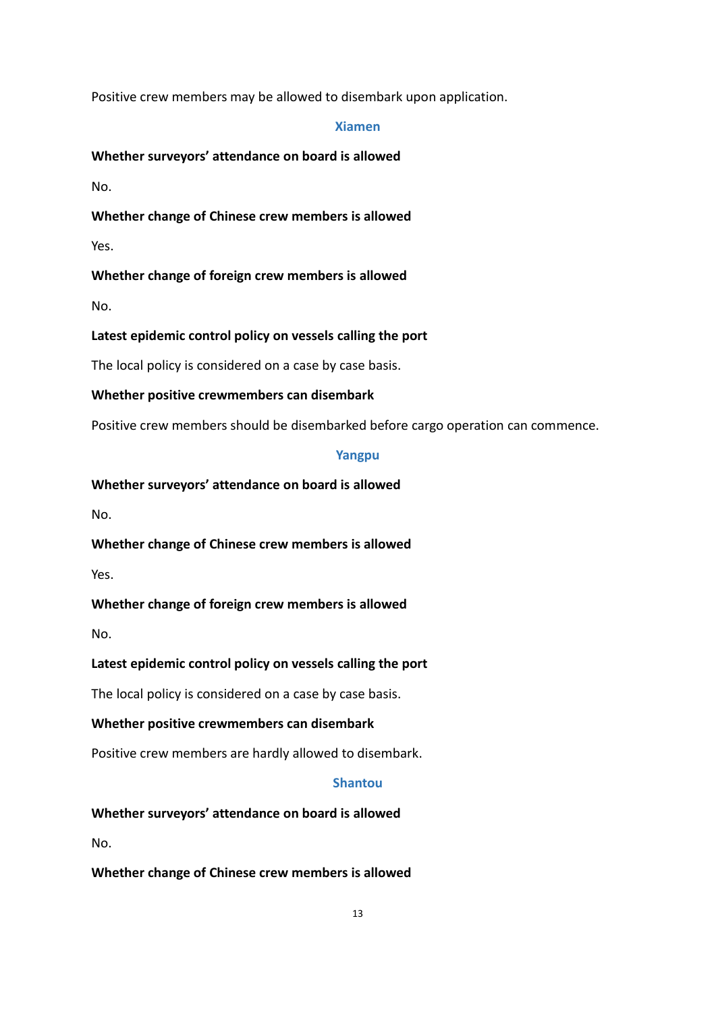Positive crew members may be allowed to disembark upon application.

#### Xiamen

### Whether surveyors' attendance on board is allowed

No.

Whether change of Chinese crew members is allowed

Yes.

# Whether change of foreign crew members is allowed

No.

# Latest epidemic control policy on vessels calling the port

The local policy is considered on a case by case basis.

# Whether positive crewmembers can disembark

Positive crew members should be disembarked before cargo operation can commence.

### Yangpu

# Whether surveyors' attendance on board is allowed

No.

Whether change of Chinese crew members is allowed

Yes.

# Whether change of foreign crew members is allowed

No.

# Latest epidemic control policy on vessels calling the port

The local policy is considered on a case by case basis.

### Whether positive crewmembers can disembark

Positive crew members are hardly allowed to disembark.

### Shantou

Whether surveyors' attendance on board is allowed

No.

### Whether change of Chinese crew members is allowed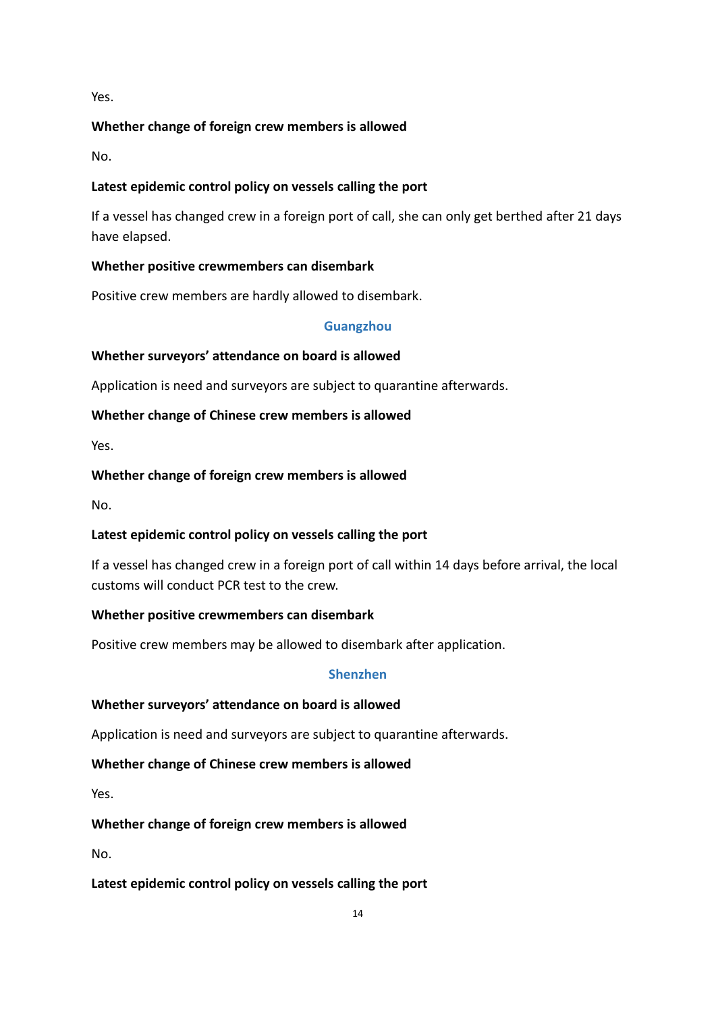Yes.

# Whether change of foreign crew members is allowed

No.

# Latest epidemic control policy on vessels calling the port

If a vessel has changed crew in a foreign port of call, she can only get berthed after 21 days have elapsed.

# Whether positive crewmembers can disembark

Positive crew members are hardly allowed to disembark.

### Guangzhou

# Whether surveyors' attendance on board is allowed

Application is need and surveyors are subject to quarantine afterwards.

# Whether change of Chinese crew members is allowed

Yes.

# Whether change of foreign crew members is allowed

No.

# Latest epidemic control policy on vessels calling the port

If a vessel has changed crew in a foreign port of call within 14 days before arrival, the local customs will conduct PCR test to the crew.

### Whether positive crewmembers can disembark

Positive crew members may be allowed to disembark after application.

### Shenzhen

### Whether surveyors' attendance on board is allowed

Application is need and surveyors are subject to quarantine afterwards.

### Whether change of Chinese crew members is allowed

Yes.

# Whether change of foreign crew members is allowed

No.

### Latest epidemic control policy on vessels calling the port